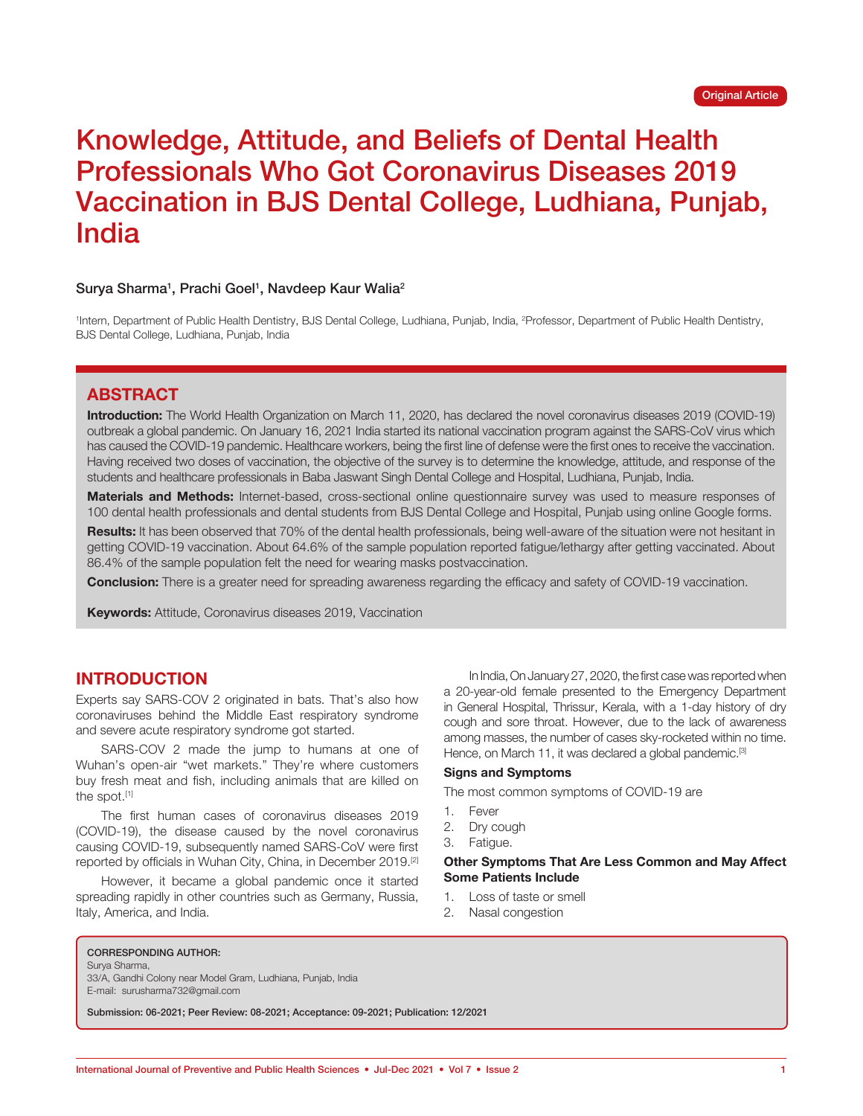# Knowledge, Attitude, and Beliefs of Dental Health Professionals Who Got Coronavirus Diseases 2019 Vaccination in BJS Dental College, Ludhiana, Punjab, India

### Surya Sharma<sup>1</sup>, Prachi Goel<sup>1</sup>, Navdeep Kaur Walia<sup>2</sup>

<sup>1</sup>Intern, Department of Public Health Dentistry, BJS Dental College, Ludhiana, Punjab, India, <sup>2</sup>Professor, Department of Public Health Dentistry, BJS Dental College, Ludhiana, Punjab, India

# **ABSTRACT**

**Introduction:** The World Health Organization on March 11, 2020, has declared the novel coronavirus diseases 2019 (COVID-19) outbreak a global pandemic. On January 16, 2021 India started its national vaccination program against the SARS-CoV virus which has caused the COVID-19 pandemic. Healthcare workers, being the first line of defense were the first ones to receive the vaccination. Having received two doses of vaccination, the objective of the survey is to determine the knowledge, attitude, and response of the students and healthcare professionals in Baba Jaswant Singh Dental College and Hospital, Ludhiana, Punjab, India.

**Materials and Methods:** Internet-based, cross-sectional online questionnaire survey was used to measure responses of 100 dental health professionals and dental students from BJS Dental College and Hospital, Punjab using online Google forms.

**Results:** It has been observed that 70% of the dental health professionals, being well-aware of the situation were not hesitant in getting COVID-19 vaccination. About 64.6% of the sample population reported fatigue/lethargy after getting vaccinated. About 86.4% of the sample population felt the need for wearing masks postvaccination.

**Conclusion:** There is a greater need for spreading awareness regarding the efficacy and safety of COVID-19 vaccination.

**Keywords:** Attitude, Coronavirus diseases 2019, Vaccination

# **INTRODUCTION**

Experts say SARS-COV 2 originated in bats. That's also how coronaviruses behind the Middle East respiratory syndrome and severe acute respiratory syndrome got started.

SARS-COV 2 made the jump to humans at one of Wuhan's open-air "wet markets." They're where customers buy fresh meat and fish, including animals that are killed on the spot.<sup>[1]</sup>

The first human cases of coronavirus diseases 2019 (COVID-19), the disease caused by the novel coronavirus causing COVID-19, subsequently named SARS-CoV were first reported by officials in Wuhan City, China, in December 2019.[2]

However, it became a global pandemic once it started spreading rapidly in other countries such as Germany, Russia, Italy, America, and India.

In India, On January 27, 2020, the first case was reported when a 20-year-old female presented to the Emergency Department in General Hospital, Thrissur, Kerala, with a 1-day history of dry cough and sore throat. However, due to the lack of awareness among masses, the number of cases sky-rocketed within no time. Hence, on March 11, it was declared a global pandemic.<sup>[3]</sup>

#### **Signs and Symptoms**

The most common symptoms of COVID-19 are

- 1. Fever
- 2. Dry cough
- 3. Fatigue.

#### **Other Symptoms That Are Less Common and May Affect Some Patients Include**

- 1. Loss of taste or smell
- 2. Nasal congestion

#### CORRESPONDING AUTHOR:

Surya Sharma,

33/A, Gandhi Colony near Model Gram, Ludhiana, Punjab, India E-mail: surusharma732@gmail.com

Submission: 06-2021; Peer Review: 08-2021; Acceptance: 09-2021; Publication: 12/2021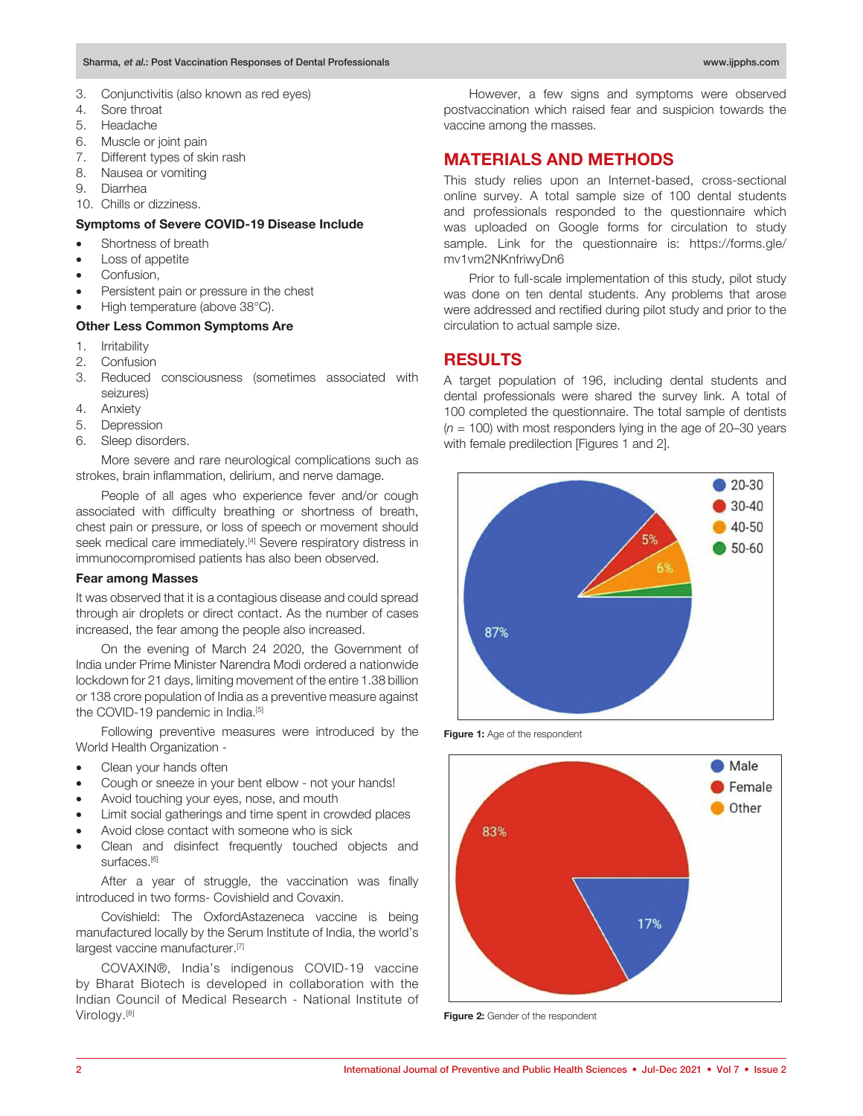- 3. Conjunctivitis (also known as red eyes)
- 4. Sore throat
- 5. Headache
- 6. Muscle or joint pain
- 7. Different types of skin rash
- 8. Nausea or vomiting
- 9. Diarrhea
- 10. Chills or dizziness.

## **Symptoms of Severe COVID‐19 Disease Include**

- Shortness of breath
- Loss of appetite
- Confusion,
- Persistent pain or pressure in the chest
- High temperature (above 38°C).

## **Other Less Common Symptoms Are**

- 1. Irritability
- 2. Confusion
- 3. Reduced consciousness (sometimes associated with seizures)
- 4. Anxiety
- 5. Depression
- 6. Sleep disorders.

More severe and rare neurological complications such as strokes, brain inflammation, delirium, and nerve damage.

People of all ages who experience fever and/or cough associated with difficulty breathing or shortness of breath, chest pain or pressure, or loss of speech or movement should seek medical care immediately.<sup>[4]</sup> Severe respiratory distress in immunocompromised patients has also been observed.

## **Fear among Masses**

It was observed that it is a contagious disease and could spread through air droplets or direct contact. As the number of cases increased, the fear among the people also increased.

On the evening of March 24 2020, the Government of India under Prime Minister Narendra Modi ordered a nationwide lockdown for 21 days, limiting movement of the entire 1.38 billion or 138 crore population of India as a preventive measure against the COVID-19 pandemic in India.<sup>[5]</sup>

Following preventive measures were introduced by the World Health Organization -

- Clean your hands often
- Cough or sneeze in your bent elbow not your hands!
- Avoid touching your eyes, nose, and mouth
- Limit social gatherings and time spent in crowded places
- Avoid close contact with someone who is sick
- Clean and disinfect frequently touched objects and surfaces.<sup>[6]</sup>

After a year of struggle, the vaccination was finally introduced in two forms- Covishield and Covaxin.

Covishield: The OxfordAstazeneca vaccine is being manufactured locally by the Serum Institute of India, the world's largest vaccine manufacturer.<sup>[7]</sup>

COVAXIN®, India's indigenous COVID-19 vaccine by Bharat Biotech is developed in collaboration with the Indian Council of Medical Research - National Institute of Virology.[8]

However, a few signs and symptoms were observed postvaccination which raised fear and suspicion towards the vaccine among the masses.

# **MATERIALS AND METHODS**

This study relies upon an Internet-based, cross-sectional online survey. A total sample size of 100 dental students and professionals responded to the questionnaire which was uploaded on Google forms for circulation to study sample. Link for the questionnaire is: https://forms.gle/ mv1vm2NKnfriwyDn6

Prior to full-scale implementation of this study, pilot study was done on ten dental students. Any problems that arose were addressed and rectified during pilot study and prior to the circulation to actual sample size.

# **RESULTS**

A target population of 196, including dental students and dental professionals were shared the survey link. A total of 100 completed the questionnaire. The total sample of dentists (*n* = 100) with most responders lying in the age of 20–30 years with female predilection [Figures 1 and 2].



**Figure 1:** Age of the respondent



**Figure 2:** Gender of the respondent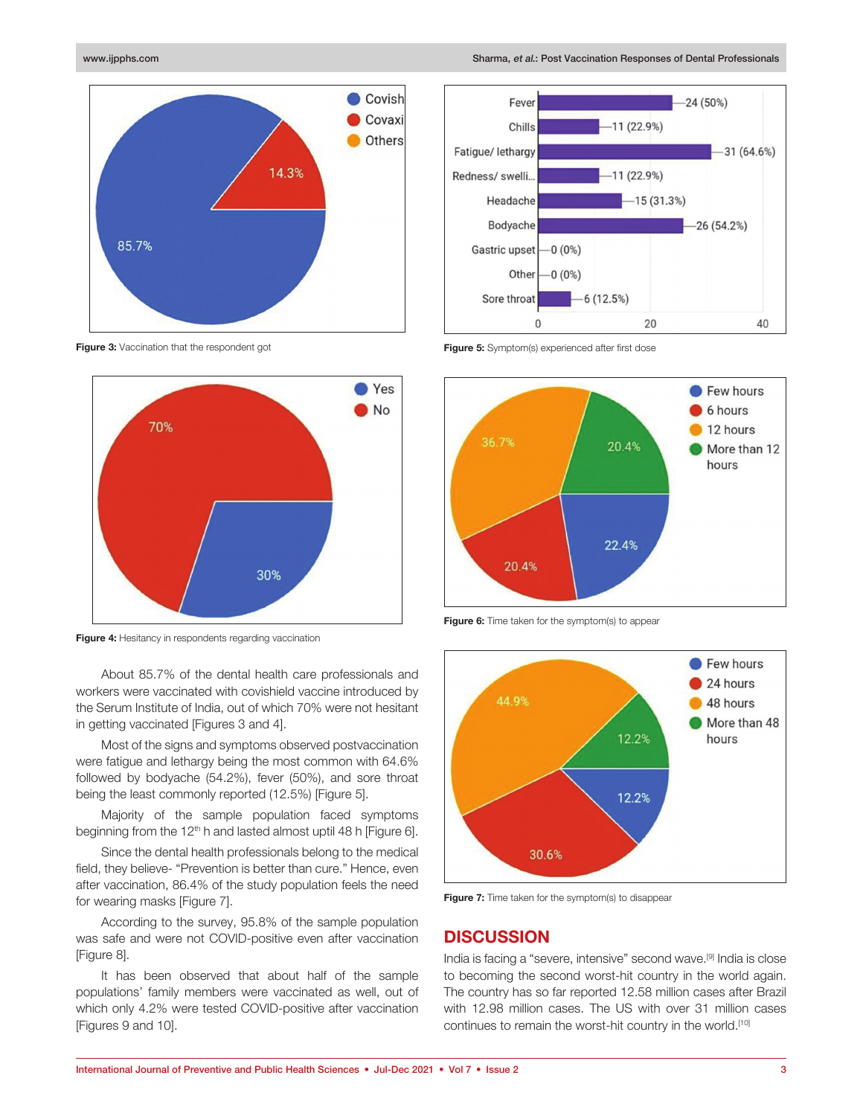

**Figure 3:** Vaccination that the respondent got



**Figure 4:** Hesitancy in respondents regarding vaccination

About 85.7% of the dental health care professionals and workers were vaccinated with covishield vaccine introduced by the Serum Institute of India, out of which 70% were not hesitant in getting vaccinated [Figures 3 and 4].

Most of the signs and symptoms observed postvaccination were fatigue and lethargy being the most common with 64.6% followed by bodyache (54.2%), fever (50%), and sore throat being the least commonly reported (12.5%) [Figure 5].

Majority of the sample population faced symptoms beginning from the 12<sup>th</sup> h and lasted almost uptil 48 h [Figure 6].

Since the dental health professionals belong to the medical field, they believe- "Prevention is better than cure." Hence, even after vaccination, 86.4% of the study population feels the need for wearing masks [Figure 7].

According to the survey, 95.8% of the sample population was safe and were not COVID-positive even after vaccination [Figure 8].

It has been observed that about half of the sample populations' family members were vaccinated as well, out of which only 4.2% were tested COVID-positive after vaccination [Figures 9 and 10].



**Figure 5:** Symptom(s) experienced after first dose



**Figure 6:** Time taken for the symptom(s) to appear



**Figure 7:** Time taken for the symptom(s) to disappear

## **DISCUSSION**

India is facing a "severe, intensive" second wave.[9] India is close to becoming the second worst-hit country in the world again. The country has so far reported 12.58 million cases after Brazil with 12.98 million cases. The US with over 31 million cases continues to remain the worst-hit country in the world.[10]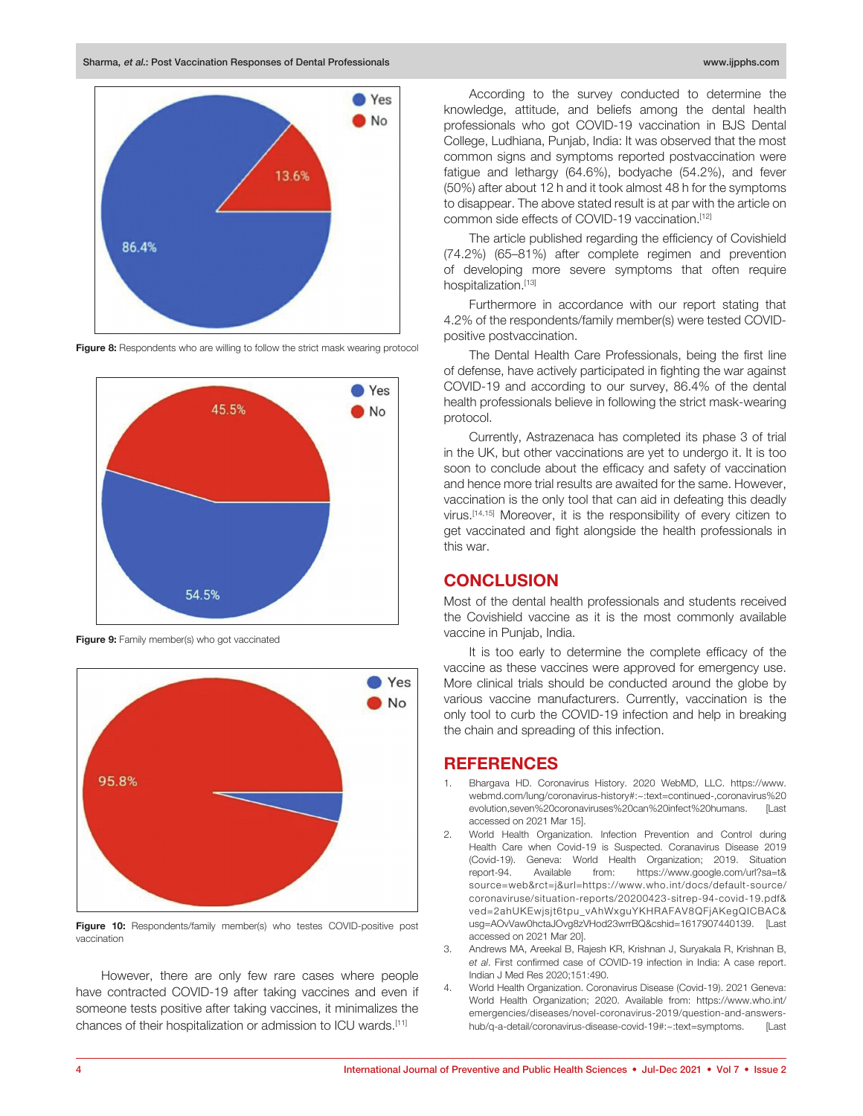Sharma, et al.: Post Vaccination Responses of Dental Professionals www.ijpphs.com www.ijpphs.com



**Figure 8:** Respondents who are willing to follow the strict mask wearing protocol



**Figure 9:** Family member(s) who got vaccinated



**Figure 10:** Respondents/family member(s) who testes COVID-positive post vaccination

However, there are only few rare cases where people have contracted COVID-19 after taking vaccines and even if someone tests positive after taking vaccines, it minimalizes the chances of their hospitalization or admission to ICU wards.[11]

According to the survey conducted to determine the knowledge, attitude, and beliefs among the dental health professionals who got COVID-19 vaccination in BJS Dental College, Ludhiana, Punjab, India: It was observed that the most common signs and symptoms reported postvaccination were fatigue and lethargy (64.6%), bodyache (54.2%), and fever (50%) after about 12 h and it took almost 48 h for the symptoms to disappear. The above stated result is at par with the article on common side effects of COVID-19 vaccination.[12]

The article published regarding the efficiency of Covishield (74.2%) (65–81%) after complete regimen and prevention of developing more severe symptoms that often require hospitalization.[13]

Furthermore in accordance with our report stating that 4.2% of the respondents/family member(s) were tested COVIDpositive postvaccination.

The Dental Health Care Professionals, being the first line of defense, have actively participated in fighting the war against COVID-19 and according to our survey, 86.4% of the dental health professionals believe in following the strict mask-wearing protocol.

Currently, Astrazenaca has completed its phase 3 of trial in the UK, but other vaccinations are yet to undergo it. It is too soon to conclude about the efficacy and safety of vaccination and hence more trial results are awaited for the same. However, vaccination is the only tool that can aid in defeating this deadly virus.[14,15] Moreover, it is the responsibility of every citizen to get vaccinated and fight alongside the health professionals in this war.

# **CONCLUSION**

Most of the dental health professionals and students received the Covishield vaccine as it is the most commonly available vaccine in Punjab, India.

It is too early to determine the complete efficacy of the vaccine as these vaccines were approved for emergency use. More clinical trials should be conducted around the globe by various vaccine manufacturers. Currently, vaccination is the only tool to curb the COVID-19 infection and help in breaking the chain and spreading of this infection.

## **REFERENCES**

- 1. Bhargava HD. Coronavirus History. 2020 WebMD, LLC. https://www. webmd.com/lung/coronavirus-history#:~:text=continued-,coronavirus%20 evolution,seven%20coronaviruses%20can%20infect%20humans. [Last accessed on 2021 Mar 15].
- 2. World Health Organization. Infection Prevention and Control during Health Care when Covid-19 is Suspected. Coranavirus Disease 2019 (Covid-19). Geneva: World Health Organization; 2019. Situation report-94. Available from: https://www.google.com/url?sa=t& source=web&rct=j&url=https://www.who.int/docs/default-source/ coronaviruse/situation-reports/20200423-sitrep-94-covid-19.pdf& ved=2ahUKEwjsjt6tpu\_vAhWxguYKHRAFAV8QFjAKegQICBAC& usg=AOvVaw0hctaJOvg8zVHod23wrrBQ&cshid=1617907440139. [Last accessed on 2021 Mar 20].
- 3. Andrews MA, Areekal B, Rajesh KR, Krishnan J, Suryakala R, Krishnan B, *et al*. First confirmed case of COVID-19 infection in India: A case report. Indian J Med Res 2020;151:490.
- 4. World Health Organization. Coronavirus Disease (Covid-19). 2021 Geneva: World Health Organization; 2020. Available from: https://www.who.int/ emergencies/diseases/novel-coronavirus-2019/question-and-answershub/q-a-detail/coronavirus-disease-covid-19#:~:text=symptoms. [Last